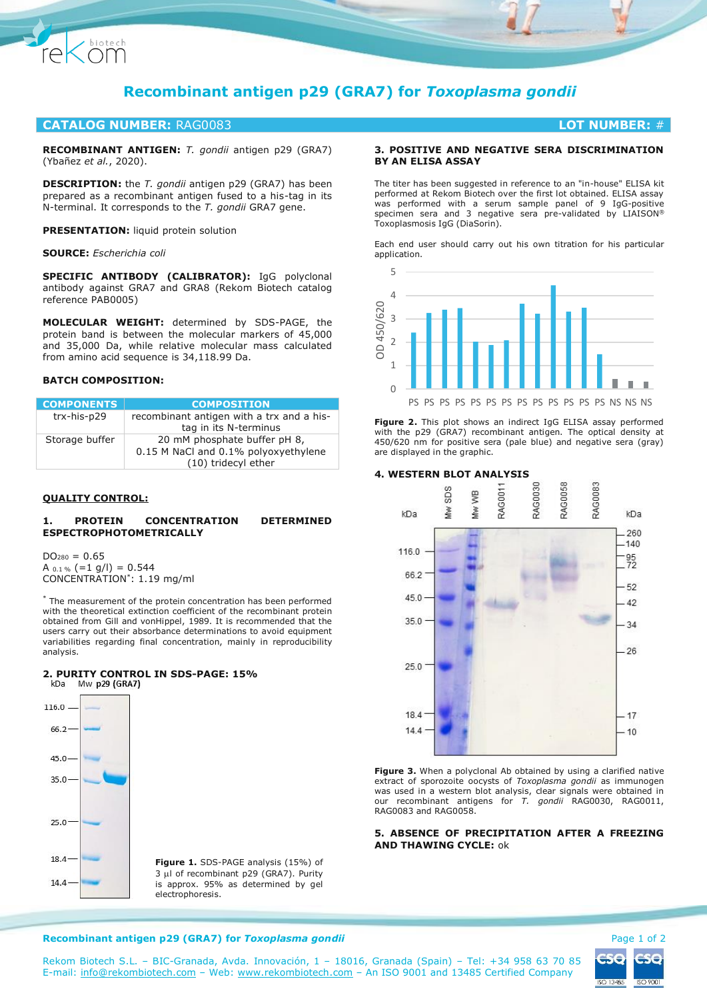

# **Recombinant antigen p29 (GRA7) for** *Toxoplasma gondii*

# **CATALOG NUMBER:** RAG0083 **LOT NUMBER:** #

**RECOMBINANT ANTIGEN:** *T. gondii* antigen p29 (GRA7) (Ybañez *et al.*, 2020).

**DESCRIPTION:** the *T. gondii* antigen p29 (GRA7) has been prepared as a recombinant antigen fused to a his-tag in its N-terminal. It corresponds to the *T. gondii* GRA7 gene.

**PRESENTATION:** liquid protein solution

## **SOURCE:** *Escherichia coli*

**SPECIFIC ANTIBODY (CALIBRATOR):** IgG polyclonal antibody against GRA7 and GRA8 (Rekom Biotech catalog reference PAB0005)

**MOLECULAR WEIGHT:** determined by SDS-PAGE, the protein band is between the molecular markers of 45,000 and 35,000 Da, while relative molecular mass calculated from amino acid sequence is 34,118.99 Da.

# **BATCH COMPOSITION:**

| <b>COMPONENTS</b> | <b>COMPOSITION</b>                        |
|-------------------|-------------------------------------------|
| trx-his-p29       | recombinant antigen with a trx and a his- |
|                   | tag in its N-terminus                     |
| Storage buffer    | 20 mM phosphate buffer pH 8,              |
|                   | 0.15 M NaCl and 0.1% polyoxyethylene      |
|                   | (10) tridecyl ether                       |

# **QUALITY CONTROL:**

# **1. PROTEIN CONCENTRATION DETERMINED ESPECTROPHOTOMETRICALLY**

 $DO<sub>280</sub> = 0.65$ A  $_{0.1\%}$  (=1 g/l) = 0.544 CONCENTRATION\* : 1.19 mg/ml

\* The measurement of the protein concentration has been performed with the theoretical extinction coefficient of the recombinant protein obtained from Gill and vonHippel, 1989. It is recommended that the users carry out their absorbance determinations to avoid equipment variabilities regarding final concentration, mainly in reproducibility analysis.

# **2. PURITY CONTROL IN SDS-PAGE: 15%**



**Figure 1.** SDS-PAGE analysis (15%) of  $3 \mu$ l of recombinant p29 (GRA7). Purity is approx. 95% as determined by gel

# **3. POSITIVE AND NEGATIVE SERA DISCRIMINATION BY AN ELISA ASSAY**

The titer has been suggested in reference to an "in-house" ELISA kit performed at Rekom Biotech over the first lot obtained. ELISA assay was performed with a serum sample panel of 9 IgG-positive specimen sera and 3 negative sera pre-validated by LIAISON® Toxoplasmosis IgG (DiaSorin).

Each end user should carry out his own titration for his particular application.



**Figure 2.** This plot shows an indirect IgG ELISA assay performed with the p29 (GRA7) recombinant antigen. The optical density at 450/620 nm for positive sera (pale blue) and negative sera (gray) are displayed in the graphic.

# **4. WESTERN BLOT ANALYSIS**



Figure 3. When a polyclonal Ab obtained by using a clarified native extract of sporozoite oocysts of *Toxoplasma gondii* as immunogen was used in a western blot analysis, clear signals were obtained in our recombinant antigens for *T. gondii* RAG0030, RAG0011, RAG0083 and RAG0058.

**5. ABSENCE OF PRECIPITATION AFTER A FREEZING AND THAWING CYCLE:** ok



# **Recombinant antigen p29 (GRA7) for** *Toxoplasma gondii* Page 1 of 2

Rekom Biotech S.L. – BIC-Granada, Avda. Innovación, 1 – 18016, Granada (Spain) – Tel: +34 958 63 70 85 E-mail: [info@rekombiotech.com](mailto:info@rekombiotech.com) – Web: [www.rekombiotech.com](file:///D:/Dropbox/Rekom/pdfs/www.rekombiotech.com) – An ISO 9001 and 13485 Certified Company